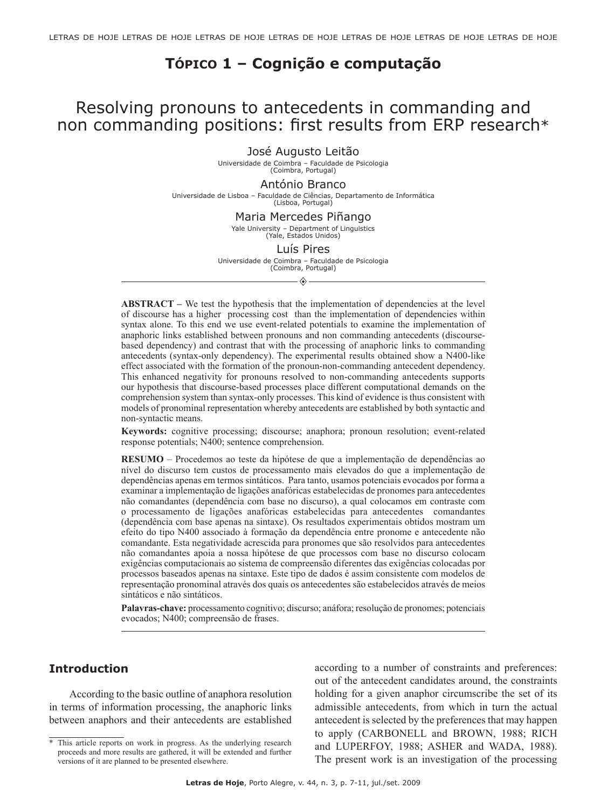# **Tópico 1 – Cognição e computação**

# Resolving pronouns to antecedents in commanding and non commanding positions: first results from ERP research\*

José Augusto Leitão

Universidade de Coimbra – Faculdade de Psicologia (Coimbra, Portugal)

#### António Branco

Universidade de Lisboa – Faculdade de Ciências, Departamento de Informática (Lisboa, Portugal)

#### Maria Mercedes Piñango

Yale University – Department of Linguistics (Yale, Estados Unidos)

#### Luís Pires

Universidade de Coimbra – Faculdade de Psicologia (Coimbra, Portugal)

 $\diamondsuit$ 

**ABSTRACT** – We test the hypothesis that the implementation of dependencies at the level of discourse has a higher processing cost than the implementation of dependencies within syntax alone. To this end we use event-related potentials to examine the implementation of anaphoric links established between pronouns and non commanding antecedents (discoursebased dependency) and contrast that with the processing of anaphoric links to commanding antecedents (syntax-only dependency). The experimental results obtained show a N400-like effect associated with the formation of the pronoun-non-commanding antecedent dependency. This enhanced negativity for pronouns resolved to non-commanding antecedents supports our hypothesis that discourse-based processes place different computational demands on the comprehension system than syntax-only processes. This kind of evidence is thus consistent with models of pronominal representation whereby antecedents are established by both syntactic and non-syntactic means.

**Keywords:** cognitive processing; discourse; anaphora; pronoun resolution; event-related response potentials; N400; sentence comprehension.

**Resumo** – Procedemos ao teste da hipótese de que a implementação de dependências ao nível do discurso tem custos de processamento mais elevados do que a implementação de dependências apenas em termos sintáticos. Para tanto, usamos potenciais evocados por forma a examinar a implementação de ligações anafóricas estabelecidas de pronomes para antecedentes não comandantes (dependência com base no discurso), a qual colocamos em contraste com o processamento de ligações anafóricas estabelecidas para antecedentes comandantes (dependência com base apenas na sintaxe). Os resultados experimentais obtidos mostram um efeito do tipo N400 associado à formação da dependência entre pronome e antecedente não comandante. Esta negatividade acrescida para pronomes que são resolvidos para antecedentes não comandantes apoia a nossa hipótese de que processos com base no discurso colocam exigências computacionais ao sistema de compreensão diferentes das exigências colocadas por processos baseados apenas na sintaxe. Este tipo de dados é assim consistente com modelos de representação pronominal através dos quais os antecedentes são estabelecidos através de meios sintáticos e não sintáticos.

**Palavras-chave:** processamento cognitivo; discurso; anáfora; resolução de pronomes; potenciais evocados; N400; compreensão de frases.

# **Introduction**

According to the basic outline of anaphora resolution in terms of information processing, the anaphoric links between anaphors and their antecedents are established

according to a number of constraints and preferences: out of the antecedent candidates around, the constraints holding for a given anaphor circumscribe the set of its admissible antecedents, from which in turn the actual antecedent is selected by the preferences that may happen to apply (CARBONELL and BROWN, 1988; RICH and LUPERFOY, 1988; ASHER and WADA, 1988). The present work is an investigation of the processing

<sup>\*</sup> This article reports on work in progress. As the underlying research proceeds and more results are gathered, it will be extended and further versions of it are planned to be presented elsewhere.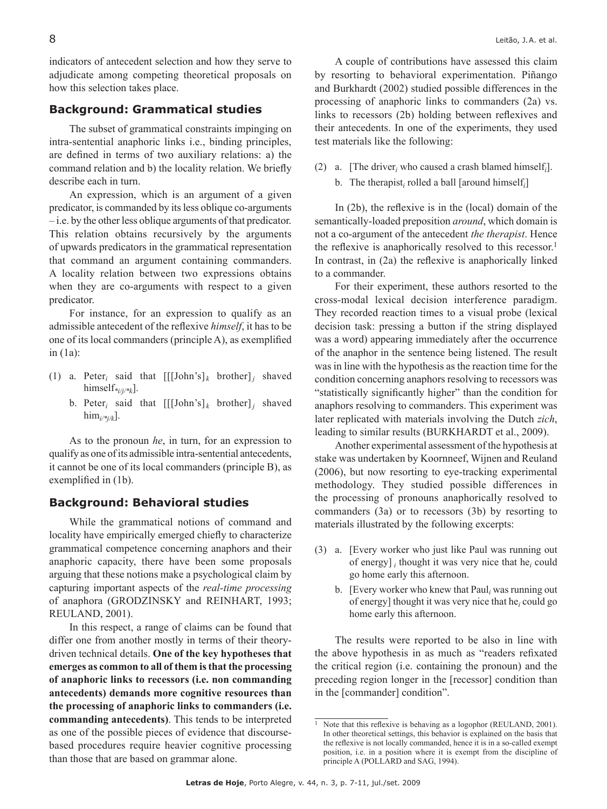indicators of antecedent selection and how they serve to adjudicate among competing theoretical proposals on how this selection takes place.

# **Background: Grammatical studies**

The subset of grammatical constraints impinging on intra-sentential anaphoric links i.e., binding principles, are defined in terms of two auxiliary relations: a) the command relation and b) the locality relation. We briefly describe each in turn.

An expression, which is an argument of a given predicator, is commanded by its less oblique co-arguments – i.e. by the other less oblique arguments of that predicator. This relation obtains recursively by the arguments of upwards predicators in the grammatical representation that command an argument containing commanders. A locality relation between two expressions obtains when they are co-arguments with respect to a given predicator.

For instance, for an expression to qualify as an admissible antecedent of the reflexive *himself*, it has to be one of its local commanders (principle A), as exemplified in (1a):

- (1) a. Peter<sub>i</sub> said that  $[[[John's]_k]$  brother]*j* shaved himself*\*i/j/\*k*].
	- b. Peter<sub>i</sub> said that  $[[[John's]_k]$  brother]*j* shaved him<sub>*i/\*j/k*].</sub>

As to the pronoun *he*, in turn, for an expression to qualify as one of its admissible intra-sentential antecedents, it cannot be one of its local commanders (principle B), as exemplified in (1b).

## **Background: Behavioral studies**

While the grammatical notions of command and locality have empirically emerged chiefly to characterize grammatical competence concerning anaphors and their anaphoric capacity, there have been some proposals arguing that these notions make a psychological claim by capturing important aspects of the *real-time processing* of anaphora (GRODZINSKY and REINHART, 1993; REULAND, 2001).

In this respect, a range of claims can be found that differ one from another mostly in terms of their theorydriven technical details. **One of the key hypotheses that emerges as common to all of them is that the processing of anaphoric links to recessors (i.e. non commanding antecedents) demands more cognitive resources than the processing of anaphoric links to commanders (i.e. commanding antecedents)**. This tends to be interpreted as one of the possible pieces of evidence that discoursebased procedures require heavier cognitive processing than those that are based on grammar alone.

A couple of contributions have assessed this claim by resorting to behavioral experimentation. Piñango and Burkhardt (2002) studied possible differences in the processing of anaphoric links to commanders (2a) vs. links to recessors (2b) holding between reflexives and their antecedents. In one of the experiments, they used test materials like the following:

(2) a. [The driver<sub>*i*</sub> who caused a crash blamed himself<sub>*i*</sub>]. b. The therapist<sub>*i*</sub> rolled a ball [around himself<sub>*i*</sub>]

In (2b), the reflexive is in the (local) domain of the semantically-loaded preposition *around*, which domain is not a co-argument of the antecedent *the therapist*. Hence the reflexive is anaphorically resolved to this recessor.<sup>1</sup> In contrast, in (2a) the reflexive is anaphorically linked to a commander.

For their experiment, these authors resorted to the cross-modal lexical decision interference paradigm. They recorded reaction times to a visual probe (lexical decision task: pressing a button if the string displayed was a word) appearing immediately after the occurrence of the anaphor in the sentence being listened. The result was in line with the hypothesis as the reaction time for the condition concerning anaphors resolving to recessors was "statistically significantly higher" than the condition for anaphors resolving to commanders. This experiment was later replicated with materials involving the Dutch *zich*, leading to similar results (BURKHARDT et al., 2009).

Another experimental assessment of the hypothesis at stake was undertaken by Koornneef, Wijnen and Reuland (2006), but now resorting to eye-tracking experimental methodology. They studied possible differences in the processing of pronouns anaphorically resolved to commanders (3a) or to recessors (3b) by resorting to materials illustrated by the following excerpts:

- (3) a. [Every worker who just like Paul was running out of energy]  $_i$  thought it was very nice that he $_i$  could go home early this afternoon.
	- b. [Every worker who knew that Paul*<sup>i</sup>* was running out of energy] thought it was very nice that he*<sup>i</sup>* could go home early this afternoon.

The results were reported to be also in line with the above hypothesis in as much as "readers refixated the critical region (i.e. containing the pronoun) and the preceding region longer in the [recessor] condition than in the [commander] condition".

<sup>&</sup>lt;sup>1</sup> Note that this reflexive is behaving as a logophor (REULAND, 2001). In other theoretical settings, this behavior is explained on the basis that the reflexive is not locally commanded, hence it is in a so-called exempt position, i.e. in a position where it is exempt from the discipline of principle A (POLLARD and SAG, 1994).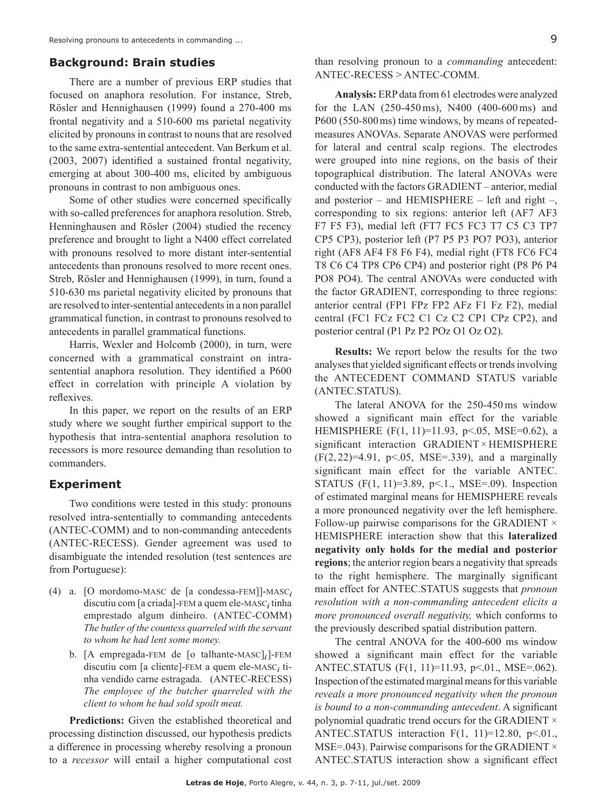### **Background: Brain studies**

There are a number of previous ERP studies that focused on anaphora resolution. For instance, Streb, Rösler and Hennighausen (1999) found a 270-400 ms frontal negativity and a 510-600 ms parietal negativity elicited by pronouns in contrast to nouns that are resolved to the same extra-sentential antecedent. Van Berkum et al. (2003, 2007) identified a sustained frontal negativity, emerging at about 300-400 ms, elicited by ambiguous pronouns in contrast to non ambiguous ones.

Some of other studies were concerned specifically with so-called preferences for anaphora resolution. Streb, Henninghausen and Rösler (2004) studied the recency preference and brought to light a N400 effect correlated with pronouns resolved to more distant inter-sentential antecedents than pronouns resolved to more recent ones. Streb, Rösler and Hennighausen (1999), in turn, found a 510-630 ms parietal negativity elicited by pronouns that are resolved to inter-sentential antecedents in a non parallel grammatical function, in contrast to pronouns resolved to antecedents in parallel grammatical functions.

Harris, Wexler and Holcomb (2000), in turn, were concerned with a grammatical constraint on intrasentential anaphora resolution. They identified a P600 effect in correlation with principle A violation by reflexives.

In this paper, we report on the results of an ERP study where we sought further empirical support to the hypothesis that intra-sentential anaphora resolution to recessors is more resource demanding than resolution to commanders.

### **Experiment**

Two conditions were tested in this study: pronouns resolved intra-sententially to commanding antecedents (ANTEC-COMM) and to non-commanding antecedents (ANTEC-RECESS). Gender agreement was used to disambiguate the intended resolution (test sentences are from Portuguese):

- (4) a. [O mordomo-masc de [a condessa-fem]]-masc*<sup>i</sup>* discutiu com [a criada]-fem a quem ele-masc*<sup>i</sup>* tinha emprestado algum dinheiro. (ANTEC-COMM) *The butler of the countess quarreled with the servant to whom he had lent some money.*
	- b. [A empregada-fem de [o talhante-masc]*i*]-fem discutiu com [a cliente]-fem a quem ele-masc*<sup>i</sup>* tinha vendido carne estragada. (ANTEC-RECESS) *The employee of the butcher quarreled with the client to whom he had sold spoilt meat.*

**Predictions:** Given the established theoretical and processing distinction discussed, our hypothesis predicts a difference in processing whereby resolving a pronoun to a *recessor* will entail a higher computational cost than resolving pronoun to a *commanding* antecedent: ANTEC-RECESS > ANTEC-COMM.

**Analysis:** ERP data from 61 electrodes were analyzed for the LAN (250-450ms), N400 (400-600ms) and P600 (550-800ms) time windows, by means of repeatedmeasures ANOVAs. Separate ANOVAS were performed for lateral and central scalp regions. The electrodes were grouped into nine regions, on the basis of their topographical distribution. The lateral ANOVAs were conducted with the factors GRADIENT – anterior, medial and posterior – and HEMISPHERE – left and right –, corresponding to six regions: anterior left (AF7 AF3 F7 F5 F3), medial left (FT7 FC5 FC3 T7 C5 C3 TP7 CP5 CP3), posterior left (P7 P5 P3 PO7 PO3), anterior right (AF8 AF4 F8 F6 F4), medial right (FT8 FC6 FC4 T8 C6 C4 TP8 CP6 CP4) and posterior right (P8 P6 P4 PO8 PO4). The central ANOVAs were conducted with the factor GRADIENT, corresponding to three regions: anterior central (FP1 FPz FP2 AFz F1 Fz F2), medial central (FC1 FCz FC2 C1 Cz C2 CP1 CPz CP2), and posterior central (P1 Pz P2 POz O1 Oz O2).

**Results:** We report below the results for the two analyses that yielded significant effects or trends involving the ANTECEDENT COMMAND STATUS variable (ANTEC.STATUS).

The lateral ANOVA for the 250-450ms window showed a significant main effect for the variable HEMISPHERE (F(1, 11)=11.93, p<.05, MSE=0.62), a significant interaction GRADIENT× HEMISPHERE  $(F(2, 22)=4.91, p<0.05, MSE=.339)$ , and a marginally significant main effect for the variable ANTEC. STATUS (F(1, 11)=3.89, p<.1., MSE=.09). Inspection of estimated marginal means for HEMISPHERE reveals a more pronounced negativity over the left hemisphere. Follow-up pairwise comparisons for the GRADIENT  $\times$ HEMISPHERE interaction show that this **lateralized negativity only holds for the medial and posterior regions**; the anterior region bears a negativity that spreads to the right hemisphere. The marginally significant main effect for ANTEC.STATUS suggests that *pronoun resolution with a non-commanding antecedent elicits a more pronounced overall negativity,* which conforms to the previously described spatial distribution pattern.

The central ANOVA for the 400-600 ms window showed a significant main effect for the variable ANTEC.STATUS (F(1, 11)=11.93, p<.01., MSE=.062). Inspection of the estimated marginal means for this variable *reveals a more pronounced negativity when the pronoun is bound to a non-commanding antecedent*. A significant polynomial quadratic trend occurs for the GRADIENT  $\times$ ANTEC.STATUS interaction F(1, 11)=12.80, p<.01., MSE=.043). Pairwise comparisons for the GRADIENT  $\times$ ANTEC.STATUS interaction show a significant effect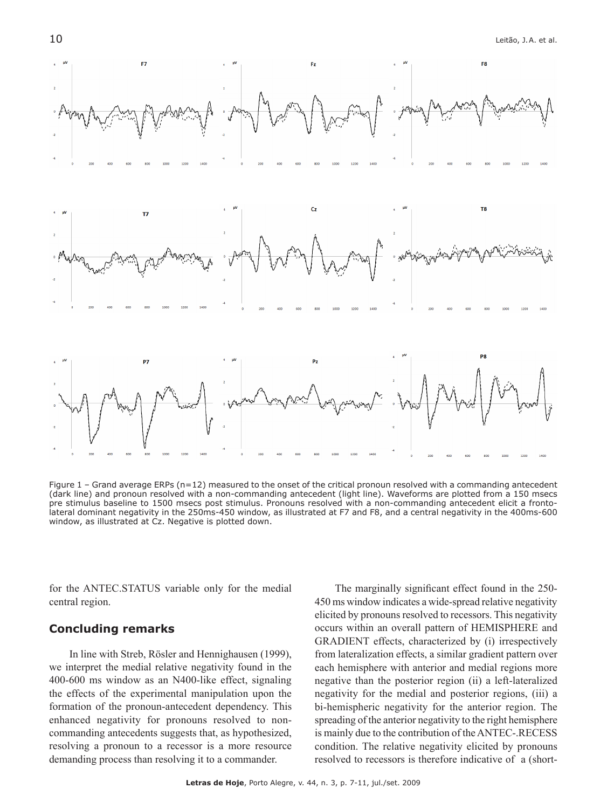

Figure  $1$  – Grand average ERPs ( $n=12$ ) measured to the onset of the critical pronoun resolved with a commanding antecedent (dark line) and pronoun resolved with a non-commanding antecedent (light line). Waveforms are plotted from a 150 msecs pre stimulus baseline to 1500 msecs post stimulus. Pronouns resolved with a non-commanding antecedent elicit a frontolateral dominant negativity in the 250ms-450 window, as illustrated at F7 and F8, and a central negativity in the 400ms-600 window, as illustrated at Cz. Negative is plotted down.

for the ANTEC.STATUS variable only for the medial central region.

### **Concluding remarks**

In line with Streb, Rösler and Hennighausen (1999), we interpret the medial relative negativity found in the 400-600 ms window as an N400-like effect, signaling the effects of the experimental manipulation upon the formation of the pronoun-antecedent dependency. This enhanced negativity for pronouns resolved to noncommanding antecedents suggests that, as hypothesized, resolving a pronoun to a recessor is a more resource demanding process than resolving it to a commander.

The marginally significant effect found in the 250- 450 ms window indicates a wide-spread relative negativity elicited by pronouns resolved to recessors. This negativity occurs within an overall pattern of HEMISPHERE and GRADIENT effects, characterized by (i) irrespectively from lateralization effects, a similar gradient pattern over each hemisphere with anterior and medial regions more negative than the posterior region (ii) a left-lateralized negativity for the medial and posterior regions, (iii) a bi-hemispheric negativity for the anterior region. The spreading of the anterior negativity to the right hemisphere is mainly due to the contribution of the ANTEC-.RECESS condition. The relative negativity elicited by pronouns resolved to recessors is therefore indicative of a (short